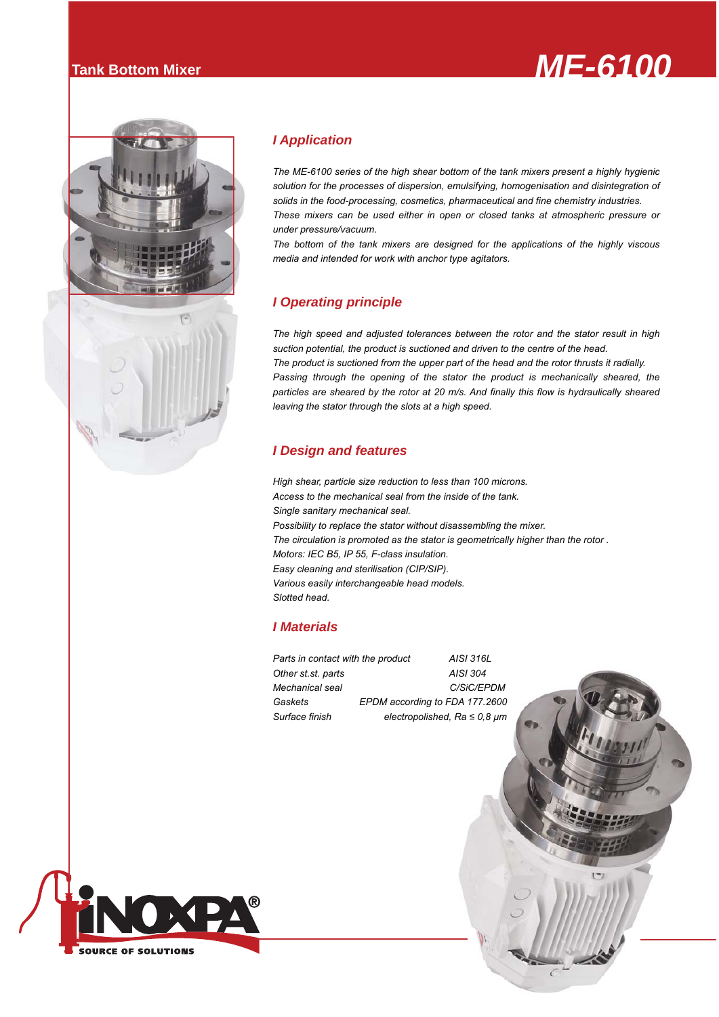





# *I Application*

*The ME-6100 series of the high shear bottom of the tank mixers present a highly hygienic solution for the processes of dispersion, emulsifying, homogenisation and disintegration of solids in the food-processing, cosmetics, pharmaceutical and fine chemistry industries. These mixers can be used either in open or closed tanks at atmospheric pressure or under pressure/vacuum.*

*The bottom of the tank mixers are designed for the applications of the highly viscous media and intended for work with anchor type agitators.*

## *I Operating principle*

*The high speed and adjusted tolerances between the rotor and the stator result in high suction potential, the product is suctioned and driven to the centre of the head. The product is suctioned from the upper part of the head and the rotor thrusts it radially.* Passing through the opening of the stator the product is mechanically sheared, the *particles are sheared by the rotor at 20 m/s. And finally this flow is hydraulically sheared leaving the stator through the slots at a high speed.*

### *I Design and features*

*High shear, particle size reduction to less than 100 microns. Access to the mechanical seal from the inside of the tank. Single sanitary mechanical seal. Possibility to replace the stator without disassembling the mixer. The circulation is promoted as the stator is geometrically higher than the rotor . Motors: IEC B5, IP 55, F-class insulation. Easy cleaning and sterilisation (CIP/SIP). Various easily interchangeable head models. Slotted head.*

### *I Materials*

*Parts in contact with the product AISI 316L Other st.st. parts AISI 304 Mechanical seal C/SiC/EPDM Gaskets EPDM according to FDA 177.2600* 

*Surface finish electropolished, Ra ≤ 0,8 μm*